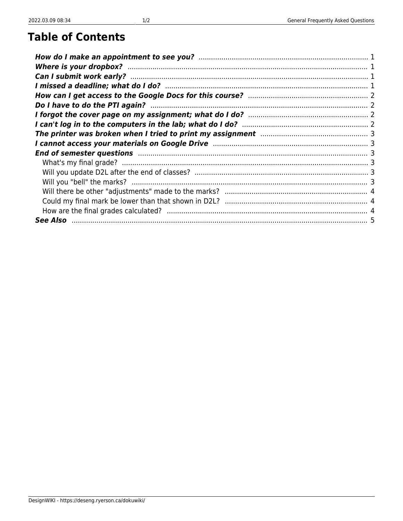## **Table of Contents**

| The printer was broken when I tried to print my assignment manu-communication of 3                             |  |
|----------------------------------------------------------------------------------------------------------------|--|
|                                                                                                                |  |
| End of semester questions manufactured and all the set of semester questions of semester questions manufacture |  |
|                                                                                                                |  |
|                                                                                                                |  |
|                                                                                                                |  |
|                                                                                                                |  |
|                                                                                                                |  |
|                                                                                                                |  |
|                                                                                                                |  |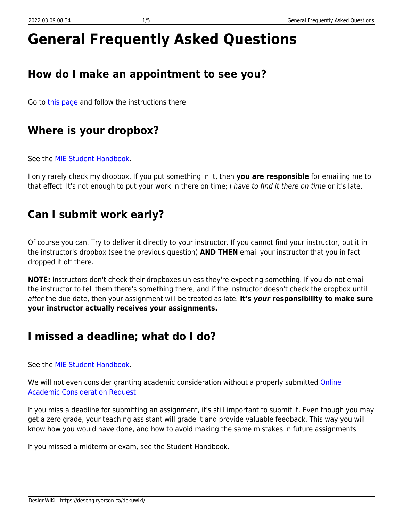# **General Frequently Asked Questions**

# <span id="page-2-0"></span>**How do I make an appointment to see you?**

Go to [this page](https://deseng.ryerson.ca/dokuwiki/teaching:office_hours) and follow the instructions there.

# <span id="page-2-1"></span>**Where is your dropbox?**

See the [MIE Student Handbook.](https://sites.google.com/a/ryerson.ca/mie/student-handbook/student-faq)

I only rarely check my dropbox. If you put something in it, then **you are responsible** for emailing me to that effect. It's not enough to put your work in there on time; I have to find it there on time or it's late.

# <span id="page-2-2"></span>**Can I submit work early?**

Of course you can. Try to deliver it directly to your instructor. If you cannot find your instructor, put it in the instructor's dropbox (see the previous question) **AND THEN** email your instructor that you in fact dropped it off there.

**NOTE:** Instructors don't check their dropboxes unless they're expecting something. If you do not email the instructor to tell them there's something there, and if the instructor doesn't check the dropbox until after the due date, then your assignment will be treated as late. **It's** *your* **responsibility to make sure your instructor actually receives your assignments.**

# <span id="page-2-3"></span>**I missed a deadline; what do I do?**

See the [MIE Student Handbook.](https://sites.google.com/a/ryerson.ca/mie/student-handbook/student-faq)

We will not even consider granting academic consideration without a properly submitted [Online](https://www.ryerson.ca/senate/resources/) [Academic Consideration Request.](https://www.ryerson.ca/senate/resources/)

If you miss a deadline for submitting an assignment, it's still important to submit it. Even though you may get a zero grade, your teaching assistant will grade it and provide valuable feedback. This way you will know how you would have done, and how to avoid making the same mistakes in future assignments.

If you missed a midterm or exam, see the Student Handbook.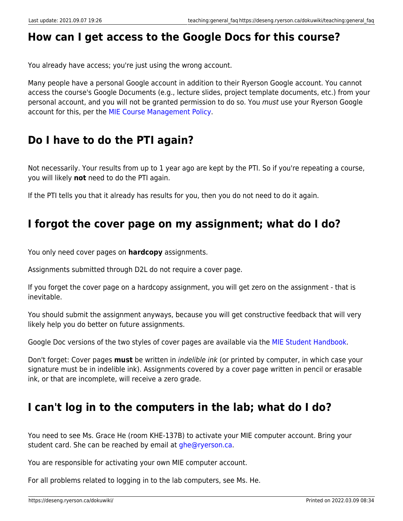### <span id="page-3-0"></span>**How can I get access to the Google Docs for this course?**

You already have access; you're just using the wrong account.

Many people have a personal Google account in addition to their Ryerson Google account. You cannot access the course's Google Documents (e.g., lecture slides, project template documents, etc.) from your personal account, and you will not be granted permission to do so. You must use your Ryerson Google account for this, per the [MIE Course Management Policy.](https://docs.google.com/document/d/1n_GukE9vSInYIYfy_r9lGXBo-Dgactse4RpD3WqZth4/edit?usp=sharing)

### <span id="page-3-1"></span>**Do I have to do the PTI again?**

Not necessarily. Your results from up to 1 year ago are kept by the PTI. So if you're repeating a course, you will likely **not** need to do the PTI again.

If the PTI tells you that it already has results for you, then you do not need to do it again.

### <span id="page-3-2"></span>**I forgot the cover page on my assignment; what do I do?**

You only need cover pages on **hardcopy** assignments.

Assignments submitted through D2L do not require a cover page.

If you forget the cover page on a hardcopy assignment, you will get zero on the assignment - that is inevitable.

You should submit the assignment anyways, because you will get constructive feedback that will very likely help you do better on future assignments.

Google Doc versions of the two styles of cover pages are available via the [MIE Student Handbook.](https://sites.google.com/a/ryerson.ca/mie/student-handbook)

Don't forget: Cover pages **must** be written in indelible ink (or printed by computer, in which case your signature must be in indelible ink). Assignments covered by a cover page written in pencil or erasable ink, or that are incomplete, will receive a zero grade.

### <span id="page-3-3"></span>**I can't log in to the computers in the lab; what do I do?**

You need to see Ms. Grace He (room KHE-137B) to activate your MIE computer account. Bring your student card. She can be reached by email at [ghe@ryerson.ca.](mailto:ghe@ryerson.ca)

You are responsible for activating your own MIE computer account.

For all problems related to logging in to the lab computers, see Ms. He.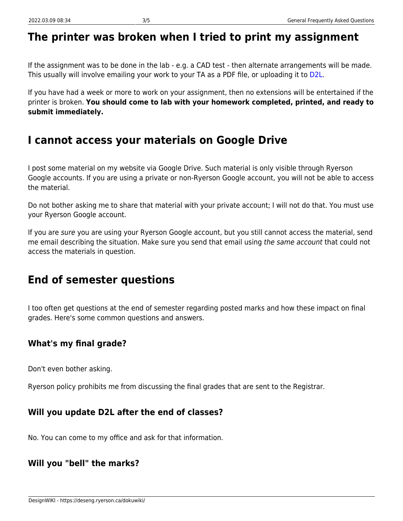### <span id="page-4-0"></span>**The printer was broken when I tried to print my assignment**

If the assignment was to be done in the lab - e.g. a CAD test - then alternate arrangements will be made. This usually will involve emailing your work to your TA as a PDF file, or uploading it to [D2L](http://my.ryerson.ca).

If you have had a week or more to work on your assignment, then no extensions will be entertained if the printer is broken. **You should come to lab with your homework completed, printed, and ready to submit immediately.**

### <span id="page-4-1"></span>**I cannot access your materials on Google Drive**

I post some material on my website via Google Drive. Such material is only visible through Ryerson Google accounts. If you are using a private or non-Ryerson Google account, you will not be able to access the material.

Do not bother asking me to share that material with your private account; I will not do that. You must use your Ryerson Google account.

If you are sure you are using your Ryerson Google account, but you still cannot access the material, send me email describing the situation. Make sure you send that email using the same account that could not access the materials in question.

### <span id="page-4-2"></span>**End of semester questions**

I too often get questions at the end of semester regarding posted marks and how these impact on final grades. Here's some common questions and answers.

#### <span id="page-4-3"></span>**What's my final grade?**

Don't even bother asking.

Ryerson policy prohibits me from discussing the final grades that are sent to the Registrar.

#### <span id="page-4-4"></span>**Will you update D2L after the end of classes?**

No. You can come to my office and ask for that information.

#### <span id="page-4-5"></span>**Will you "bell" the marks?**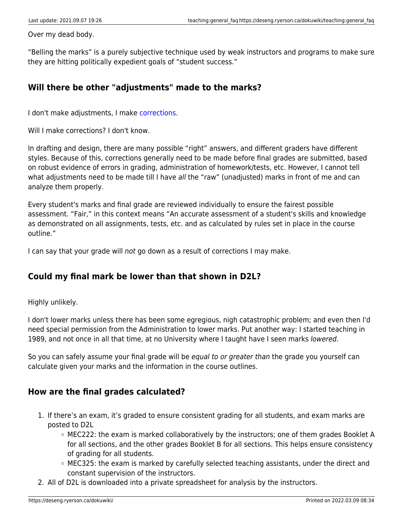Over my dead body.

"Belling the marks" is a purely subjective technique used by weak instructors and programs to make sure they are hitting politically expedient goals of "student success."

#### <span id="page-5-0"></span>**Will there be other "adjustments" made to the marks?**

I don't make adjustments, I make [corrections](https://deseng.ryerson.ca/dokuwiki/teaching:don_t_bother_begging_for_marks).

Will I make corrections? I don't know.

In drafting and design, there are many possible "right" answers, and different graders have different styles. Because of this, corrections generally need to be made before final grades are submitted, based on robust evidence of errors in grading, administration of homework/tests, etc. However, I cannot tell what adjustments need to be made till I have all the "raw" (unadjusted) marks in front of me and can analyze them properly.

Every student's marks and final grade are reviewed individually to ensure the fairest possible assessment. "Fair," in this context means "An accurate assessment of a student's skills and knowledge as demonstrated on all assignments, tests, etc. and as calculated by rules set in place in the course outline."

I can say that your grade will not go down as a result of corrections I may make.

#### <span id="page-5-1"></span>**Could my final mark be lower than that shown in D2L?**

Highly unlikely.

I don't lower marks unless there has been some egregious, nigh catastrophic problem; and even then I'd need special permission from the Administration to lower marks. Put another way: I started teaching in 1989, and not once in all that time, at no University where I taught have I seen marks lowered.

So you can safely assume your final grade will be equal to or greater than the grade you yourself can calculate given your marks and the information in the course outlines.

#### <span id="page-5-2"></span>**How are the final grades calculated?**

- 1. If there's an exam, it's graded to ensure consistent grading for all students, and exam marks are posted to D2L
	- $\circ$  MEC222: the exam is marked collaboratively by the instructors; one of them grades Booklet A for all sections, and the other grades Booklet B for all sections. This helps ensure consistency of grading for all students.
	- MEC325: the exam is marked by carefully selected teaching assistants, under the direct and constant supervision of the instructors.
- 2. All of D2L is downloaded into a private spreadsheet for analysis by the instructors.